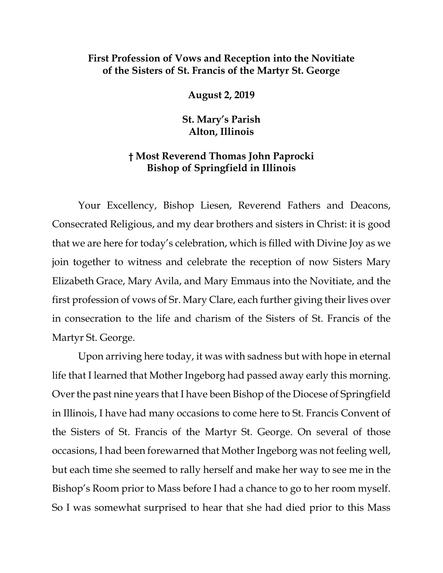## **First Profession of Vows and Reception into the Novitiate of the Sisters of St. Francis of the Martyr St. George**

**August 2, 2019**

**St. Mary's Parish Alton, Illinois**

## **† Most Reverend Thomas John Paprocki Bishop of Springfield in Illinois**

Your Excellency, Bishop Liesen, Reverend Fathers and Deacons, Consecrated Religious, and my dear brothers and sisters in Christ: it is good that we are here for today's celebration, which is filled with Divine Joy as we join together to witness and celebrate the reception of now Sisters Mary Elizabeth Grace, Mary Avila, and Mary Emmaus into the Novitiate, and the first profession of vows of Sr. Mary Clare, each further giving their lives over in consecration to the life and charism of the Sisters of St. Francis of the Martyr St. George.

Upon arriving here today, it was with sadness but with hope in eternal life that I learned that Mother Ingeborg had passed away early this morning. Over the past nine years that I have been Bishop of the Diocese of Springfield in Illinois, I have had many occasions to come here to St. Francis Convent of the Sisters of St. Francis of the Martyr St. George. On several of those occasions, I had been forewarned that Mother Ingeborg was not feeling well, but each time she seemed to rally herself and make her way to see me in the Bishop's Room prior to Mass before I had a chance to go to her room myself. So I was somewhat surprised to hear that she had died prior to this Mass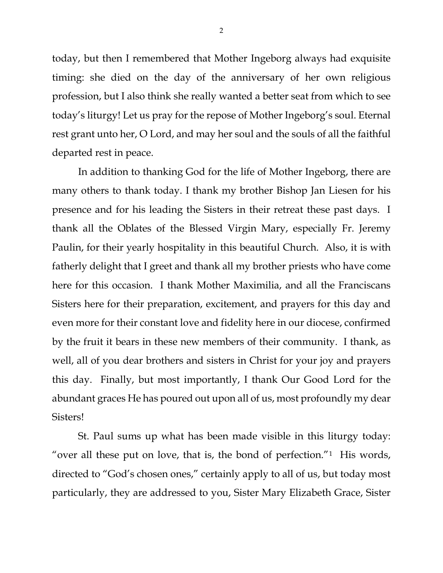today, but then I remembered that Mother Ingeborg always had exquisite timing: she died on the day of the anniversary of her own religious profession, but I also think she really wanted a better seat from which to see today's liturgy! Let us pray for the repose of Mother Ingeborg's soul. Eternal rest grant unto her, O Lord, and may her soul and the souls of all the faithful departed rest in peace.

In addition to thanking God for the life of Mother Ingeborg, there are many others to thank today. I thank my brother Bishop Jan Liesen for his presence and for his leading the Sisters in their retreat these past days. I thank all the Oblates of the Blessed Virgin Mary, especially Fr. Jeremy Paulin, for their yearly hospitality in this beautiful Church. Also, it is with fatherly delight that I greet and thank all my brother priests who have come here for this occasion. I thank Mother Maximilia, and all the Franciscans Sisters here for their preparation, excitement, and prayers for this day and even more for their constant love and fidelity here in our diocese, confirmed by the fruit it bears in these new members of their community. I thank, as well, all of you dear brothers and sisters in Christ for your joy and prayers this day. Finally, but most importantly, I thank Our Good Lord for the abundant graces He has poured out upon all of us, most profoundly my dear Sisters!

St. Paul sums up what has been made visible in this liturgy today: "over all these put on love, that is, the bond of perfection." $1$  His words, directed to "God's chosen ones," certainly apply to all of us, but today most particularly, they are addressed to you, Sister Mary Elizabeth Grace, Sister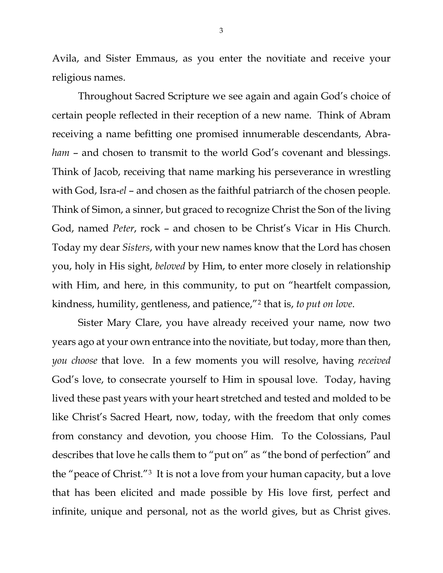Avila, and Sister Emmaus, as you enter the novitiate and receive your religious names.

Throughout Sacred Scripture we see again and again God's choice of certain people reflected in their reception of a new name. Think of Abram receiving a name befitting one promised innumerable descendants, Abra*ham* – and chosen to transmit to the world God's covenant and blessings. Think of Jacob, receiving that name marking his perseverance in wrestling with God, Isra-*el* – and chosen as the faithful patriarch of the chosen people*.* Think of Simon, a sinner, but graced to recognize Christ the Son of the living God, named *Peter*, rock – and chosen to be Christ's Vicar in His Church. Today my dear *Sisters*, with your new names know that the Lord has chosen you, holy in His sight, *beloved* by Him, to enter more closely in relationship with Him, and here, in this community, to put on "heartfelt compassion, kindness, humility, gentleness, and patience,"[2](#page-2-1) that is, *to put on love*.

<span id="page-2-8"></span><span id="page-2-7"></span><span id="page-2-6"></span><span id="page-2-5"></span><span id="page-2-4"></span><span id="page-2-3"></span><span id="page-2-2"></span><span id="page-2-1"></span><span id="page-2-0"></span>Sister Mary Clare, you have already received your name, now two years ago at your own entrance into the novitiate, but today, more than then, *you choose* that love. In a few moments you will resolve, having *received* God's love, to consecrate yourself to Him in spousal love. Today, having lived these past years with your heart stretched and tested and molded to be like Christ's Sacred Heart, now, today, with the freedom that only comes from constancy and devotion, you choose Him. To the Colossians, Paul describes that love he calls them to "put on" as "the bond of perfection" and the "peace of Christ."[3](#page-2-2) It is not a love from your human capacity, but a love that has been elicited and made possible by His love first, perfect and infinite, unique and personal, not as the world gives, but as Christ gives.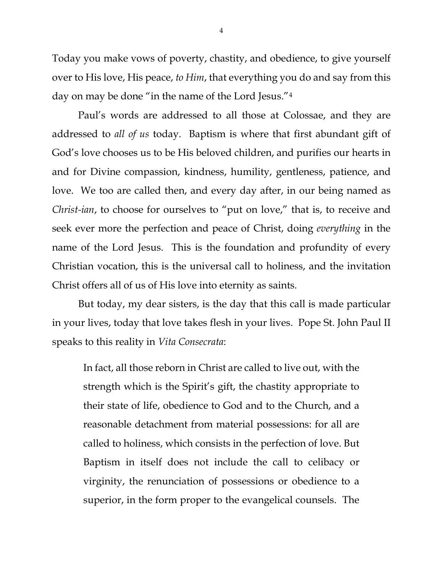Today you make vows of poverty, chastity, and obedience, to give yourself over to His love, His peace, *to Him*, that everything you do and say from this day on may be done "in the name of the Lord Jesus."[4](#page-2-3)

Paul's words are addressed to all those at Colossae, and they are addressed to *all of us* today. Baptism is where that first abundant gift of God's love chooses us to be His beloved children, and purifies our hearts in and for Divine compassion, kindness, humility, gentleness, patience, and love. We too are called then, and every day after, in our being named as *Christ-ian*, to choose for ourselves to "put on love," that is, to receive and seek ever more the perfection and peace of Christ, doing *everything* in the name of the Lord Jesus. This is the foundation and profundity of every Christian vocation, this is the universal call to holiness, and the invitation Christ offers all of us of His love into eternity as saints.

But today, my dear sisters, is the day that this call is made particular in your lives, today that love takes flesh in your lives. Pope St. John Paul II speaks to this reality in *Vita Consecrata*:

In fact, all those reborn in Christ are called to live out, with the strength which is the Spirit's gift, the chastity appropriate to their state of life, obedience to God and to the Church, and a reasonable detachment from material possessions: for all are called to holiness, which consists in the perfection of love. But Baptism in itself does not include the call to celibacy or virginity, the renunciation of possessions or obedience to a superior, in the form proper to the evangelical counsels. The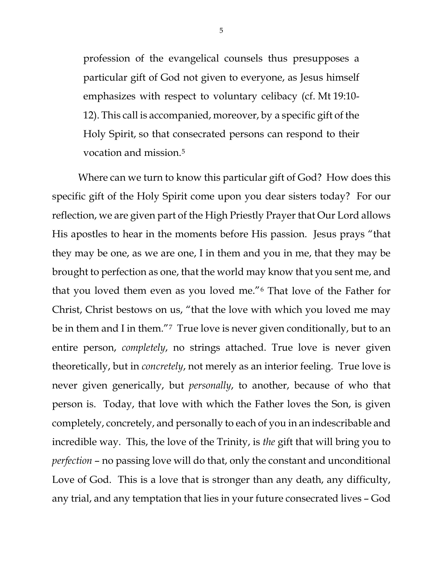profession of the evangelical counsels thus presupposes a particular gift of God not given to everyone, as Jesus himself emphasizes with respect to voluntary celibacy (cf. Mt 19:10- 12). This call is accompanied, moreover, by a specific gift of the Holy Spirit, so that consecrated persons can respond to their vocation and mission.<sup>[5](#page-2-4)</sup>

Where can we turn to know this particular gift of God? How does this specific gift of the Holy Spirit come upon you dear sisters today? For our reflection, we are given part of the High Priestly Prayer that Our Lord allows His apostles to hear in the moments before His passion. Jesus prays "that they may be one, as we are one, I in them and you in me, that they may be brought to perfection as one, that the world may know that you sent me, and that you loved them even as you loved me."[6](#page-2-5) That love of the Father for Christ, Christ bestows on us, "that the love with which you loved me may be in them and I in them."<sup>[7](#page-2-6)</sup> True love is never given conditionally, but to an entire person, *completely*, no strings attached. True love is never given theoretically, but in *concretely*, not merely as an interior feeling. True love is never given generically, but *personally*, to another, because of who that person is. Today, that love with which the Father loves the Son, is given completely, concretely, and personally to each of you in an indescribable and incredible way. This, the love of the Trinity, is *the* gift that will bring you to *perfection* – no passing love will do that, only the constant and unconditional Love of God. This is a love that is stronger than any death, any difficulty, any trial, and any temptation that lies in your future consecrated lives – God

5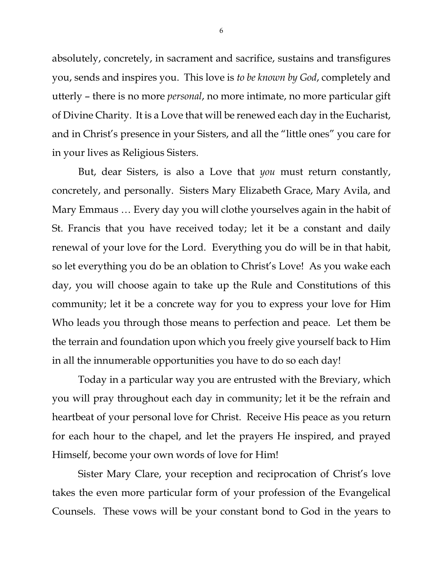absolutely, concretely, in sacrament and sacrifice, sustains and transfigures you, sends and inspires you. This love is *to be known by God*, completely and utterly – there is no more *personal*, no more intimate, no more particular gift of Divine Charity. It is a Love that will be renewed each day in the Eucharist, and in Christ's presence in your Sisters, and all the "little ones" you care for in your lives as Religious Sisters.

But, dear Sisters, is also a Love that *you* must return constantly, concretely, and personally. Sisters Mary Elizabeth Grace, Mary Avila, and Mary Emmaus … Every day you will clothe yourselves again in the habit of St. Francis that you have received today; let it be a constant and daily renewal of your love for the Lord. Everything you do will be in that habit, so let everything you do be an oblation to Christ's Love! As you wake each day, you will choose again to take up the Rule and Constitutions of this community; let it be a concrete way for you to express your love for Him Who leads you through those means to perfection and peace. Let them be the terrain and foundation upon which you freely give yourself back to Him in all the innumerable opportunities you have to do so each day!

Today in a particular way you are entrusted with the Breviary, which you will pray throughout each day in community; let it be the refrain and heartbeat of your personal love for Christ. Receive His peace as you return for each hour to the chapel, and let the prayers He inspired, and prayed Himself, become your own words of love for Him!

Sister Mary Clare, your reception and reciprocation of Christ's love takes the even more particular form of your profession of the Evangelical Counsels. These vows will be your constant bond to God in the years to

6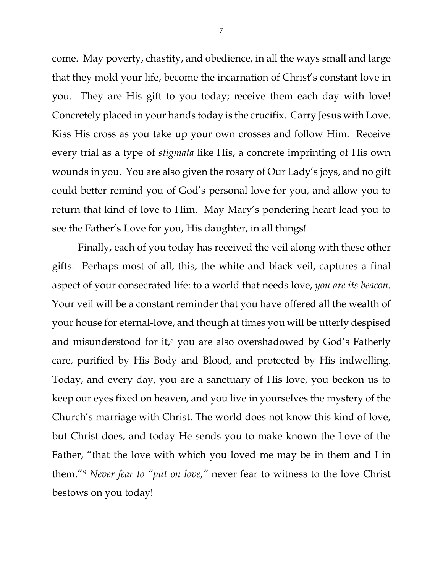come. May poverty, chastity, and obedience, in all the ways small and large that they mold your life, become the incarnation of Christ's constant love in you. They are His gift to you today; receive them each day with love! Concretely placed in your hands today is the crucifix. Carry Jesus with Love. Kiss His cross as you take up your own crosses and follow Him. Receive every trial as a type of *stigmata* like His, a concrete imprinting of His own wounds in you. You are also given the rosary of Our Lady's joys, and no gift could better remind you of God's personal love for you, and allow you to return that kind of love to Him. May Mary's pondering heart lead you to see the Father's Love for you, His daughter, in all things!

Finally, each of you today has received the veil along with these other gifts. Perhaps most of all, this, the white and black veil, captures a final aspect of your consecrated life: to a world that needs love, *you are its beacon*. Your veil will be a constant reminder that you have offered all the wealth of your house for eternal-love, and though at times you will be utterly despised and misunderstood for it, $8$  you are also overshadowed by God's Fatherly care, purified by His Body and Blood, and protected by His indwelling. Today, and every day, you are a sanctuary of His love, you beckon us to keep our eyes fixed on heaven, and you live in yourselves the mystery of the Church's marriage with Christ. The world does not know this kind of love, but Christ does, and today He sends you to make known the Love of the Father, "that the love with which you loved me may be in them and I in them."[9](#page-2-8) *Never fear to "put on love,"* never fear to witness to the love Christ bestows on you today!